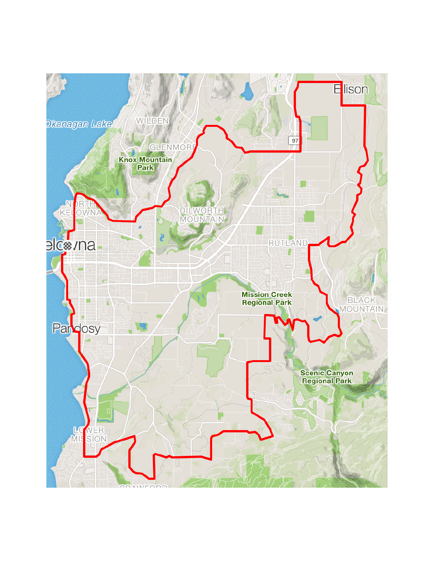